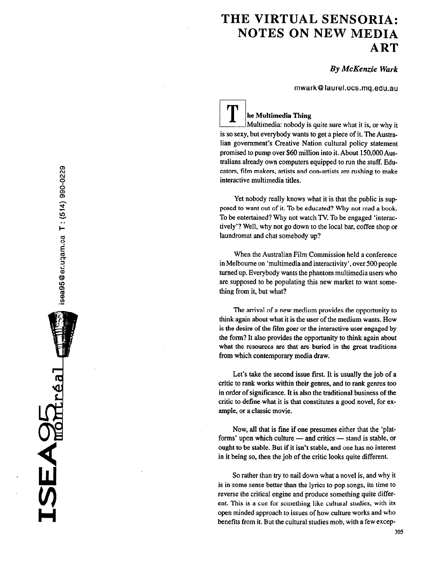# THE VIRTUAL SENSORIA: NOTES ON NEW MEDIA ART

By McKenzie Wark

mwark@ laurel.ocs.mq.edu.au

 $\sqcup$ he Multimedia Thing Multimedia: nobody is quite sure what it is, or why it is so sexy, but everybody wants to get a piece of it. The Australian government's Creative Nation cultural policy statement promised to pump over \$60 million into it. About 150,OOOAustralians already own computers equipped to run the stuff. Educators, film makers, artists and con-artists are rushing to make interactive multimedia titles.

Yet nobody really knows what it is that the public is supposed to want out of it. To be educated? Why not read a book. To be entertained? Why not watch TV. To be engaged 'interactively'? Well, why not go down to the local bar, coffee shop or laundromat and chat somebody up?

When the Australian Film Commission held a conference in Melbourne on 'multimedia and interactivity', over 500 people turned up. Everybody wants the phantom multimedia users who are supposed to be populating this new market to want something from it, but what?

The arrival of a new medium provides the opportunity to think again about what it is the user of the medium wants. How is the desire of the film goer or the interactive user engaged by the form? It also provides the opportunity to think again about what the resources are that are buried in the great traditions from which contemporary media draw.

Let's take the second issue first. It is usually the job of a critic to rank works within their genres, and to rank genres too in order of significance. It is also the traditional business of the critic to define what it is that constitutes a good novel, for example, or a classic movie.

Now, all that is fine if one presumes either that the 'platforms' upon which culture — and critics — stand is stable, or ought to be stable. But if it isn't stable, and one has no interest in it being so, then the job of the critic looks quite different.

So rather than try to nail down what a novel is, and why it is in some sense better than the lyrics to pop songs, its time to reverse the critical engine and produce something quite different. This is a cue for something like cultural studies, with its open minded approach to issues of how culture works and who benefits from it. But the cultural studies mob, with a few excep-

H

 $\sum_{\text{max}}$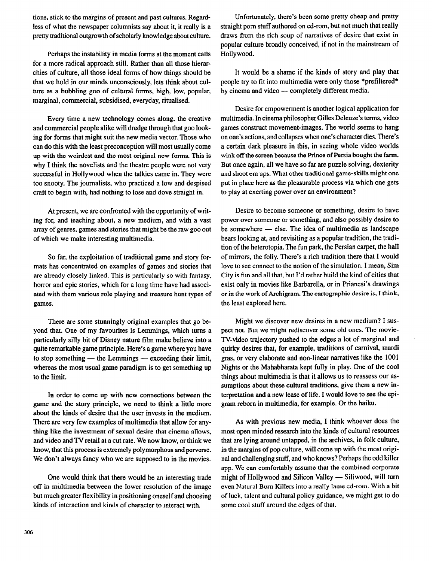tions, stick to the margins of present and past cultures. Regardless of what the newspaper columnists say about it, it really is a pretty traditional outgrowth of scholarly knowledge about culture.

Perhaps the instability in media forms at the moment calls for a more radical approach still. Rather than all those hierarchies of culture, all those ideal forms of how things should be that we hold in our minds unconsciously, lets think about culture as a bubbling goo of cultural forms, high, low, popular, marginal, commercial, subsidised, everyday, ritualised.

Every time a new technology comes along, the creative and commercial people alike will dredge through that goo looking for forms that might suit the new media vector. Those who can do this with the least preconception will most usually come up with the weirdest and the most original new forms. This is why I think the novelists and the theatre people were not very successful in Hollywood when the talkies came in. They were too snooty. The journalists, who practiced a low and despised craft to begin with, had nothing to lose and dove straight in.

At present, we are confronted with the opportunity of writing for, and teaching about, a new medium, and with a vast array of genres, games and stories that might be the raw goo out of which we make interesting multimedia.

So far, the exploitation of traditional game and story formats has concentrated on examples of games and stories that are already closely linked. This is particularly so with fantasy, horror and epic stories, which for a long time have had associated with them various role playing and treasure hunt types of games.

There are some stunningly original examples that go beyond that. One of my favourites is Lemmings, which turns a particularly silly bit of Disney nature film make believe into a quite remarkable game principle. Here's a game where you have to stop something  $-$  the Lemmings  $-$  exceeding their limit, whereas the most usual game paradigm is to get something up to the limit.

In order to come up with new connections between the game and the story principle, we need to think a little more about the kinds of desire that the user invests in the medium. There are very few examples of multimedia that allow for anything like the investment of sexual desire that cinema allows, and video and TV retail at a cut rate. We now know, or think we know, that this process is extremely polymorphous and perverse. We don't always fancy who we are supposed to in the movies.

One would think that there would be an interesting trade off in multimedia between the lower resolution of the image but much greater flexibility in positioning oneself and choosing kinds of interaction and kinds of character to interact with.

Unfortunately, there's been some pretty cheap and pretty straight porn stuff authored on cd-rom, but not much that really draws from the rich soup of narratives of desire that exist in popular culture broadly conceived, if not in the mainstream of Hollywood.

It would be a shame if the kinds of story and play that people try to fit into multimedia were only those \*pretiltered\* by cinema and video - completely different media.

Desire for empowerment is another logical application for multimedia. In cinema philosopher Gilles Deleuze's terms, video games construct movement-images. The world seems to hang on one's actions, and collapses when one's character dies. There's a certain dark pleasure in this, in seeing whole video worlds wink off the screen because the Prince of Persia bought the farm. But once again, all we have so far are puzzle solving, dexterity and shoot em ups. What other traditional game-skills might one put in place here as the pleasurable process via which one gets to play at exerting power over an environment?

Desire to become someone or something, desire to have power over someone or something, and also possibly desire to be somewhere - else. The idea of multimedia as landscape bears looking at, and revisiting as a popular tradition, the tradition of the heterotopia. The fun park, the Persian carpet, the hall of mirrors, the folly. There's a rich tradition there that I would love to see connect to the notion of the simulation. I mean, Sim City is fun and all that, but I'd rather build the kind of cities that exist only in movies like Barbarella, or in Prianesi's drawings or in the work of Archigram. The cartographic desire is, I think, the least explored here.

Might we discover new desires in a new medium? I suspect not. But we might rediscover some old ones. The movie-TV-video trajectory pushed to the edges a lot of marginal and quirky desires that, for example, traditions of carnival, mardi gras, or very elaborate and non-linear narratives like the 1001 Nights or the Mahabharata kept fully in play. One of the cool things about multimedia is that it allows us to reassess our assumptions about these cultural traditions, give them a new interpretation and a new lease of life. I would love to see the epigram reborn in multimedia, for example. Or the haiku.

As with previous new media, I think whoever does the most open minded research into the kinds of cultural resources that are lying around untapped, in the archives, in folk culture, in the margins of pop culture, will come up with the most original and challenging stuff, and who knows? Perhaps the odd killer app. We can comfortably assume that the combined corporate might of Hollywood and Silicon Valley - Siliwood, will turn even Natural Born Killers into a really lame cd-rom. With a bit of luck, talent and cultural policy guidance, we might get to do some cool stuff around the edges of that.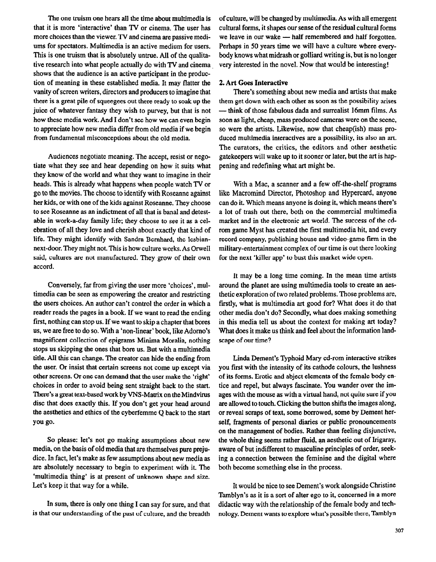The one truism one hears all the time about multimedia is that it is more 'interactive' than TV or cinema. The user has more choices than the viewer. TV and cinema are passive mediums for spectators. Multimedia is an active medium for users. This is one truism that is absolutely untrue. All of the qualitative research into what people actually do with TV and cinema shows that the audience is an active participant in the production of meaning in these established media. It may flatter the vanity of screen writers, directors and producers to imagine that there is a great pile of squeegees out there ready to soak up the juice of whatever fantasy they wish to purvey, but that is not how these media work. And I don't see how we can even begin to appreciate how new media differ from old media if we begin from fundamental misconceptions about the old media.

Audiences negotiate meaning. The accept, resist or negotiate what they see and hear depending on how it suits what they know of the world and what they want to imagine in their heads. This is already what happens when people watch TV or go to the movies. The choose to identify with Roseanne against her kids, or with one of the kids against Roseanne. They choose to see Roseanne as an indictment of all that is banal and detestable in work-a-day family life; they choose to see it as a celebration of all they love and cherish about exactly that kind of life. They might identify with Sandra Bernhard, the lesbiannext-door. They might not. This is how culture works. As Orwell said, cultures are not manufactured. They grow of their own accord.

Conversely, far from giving the user more 'choices', multimedia can be seen as empowering the creator and restricting the users choices. An author can't control the order in which a reader reads the pages in a book. If we want to read the ending first, nothing can stop us. If we want to skip a chapter that bores us, we are free to do so. Wtth a 'non-linear' book, like Adomo's magnificent collection of epigrams Minima Moralia, nothing stops us skipping the ones that bore us. But with a multimedia title. All this can change. The creator can hide the ending from the user. Or insist that certain screens not come up except via other screens. Or one can demand that the user make the 'right' choices in order to avoid being sent straight back to the start. There's a great text-based work by VNS-Matrix on the Mindvirus disc that does exactly this. If you don't get your head around the aesthetics and ethics of the cyberfemme Q back to the start you go.

So please: let's not go making assumptions about new media, on the basis of old media that are themselves pure prejudice. In fact, let's make as few assumptions about new media as are absolutely necessary to begin to experiment with it. The 'multimedia thing' is at present of unknown shape and size. Let's keep it that way for a while.

In sum, there is only one thing I can say for sure, and that is that our understanding of the past of culture, and the breadth of culture, will be changed by multimedia. As with all emergent cultural forms, it shapes our sense of the residual cultural forms we leave in our wake - half remembered and half forgotten. Perhaps in 50 years time we will have a culture where everybody knows what midrash or golliard writing is, but is no longer very interested in the novel. Now that wouId be interesting!

### 2. Art Goes Interactive

There's something about new media and artists that make them get down with each other as soon as the possibility arises - think of those fabulous dada and surrealist 16mm films. As soon as light, cheap, mass produced cameras were on the scene, so were the artists. Likewise, now that cheap(ish) mass produced multimedia interactives are a possibility, its also an art. The curators, the critics, the editors and other aesthetic gatekeepers will wake up to it sooner or later, but the art is hap pening and redefining what art might be.

With a Mac, a scanner and a few off-the-shelf programs like Macromind Director, Photoshop and Hypercard, anyone can do it. Which means anyone is doing it, which means there's a lot of trash out there, both on the commercial multimedia market and in the electronic art world. The success of the cdrom game Myst has created the first multimedia hit, and every record company, publishing house and video-game firm in the military-entertainment complex of our time is out there looking for the next 'killer app' to bust this market wide open.

It may be a long time coming. In the mean time artists around the planet are using multimedia tools to create an aesthetic exploration of two related problems. Those problems are, firstly, what is multimedia art good for? What does it do that other media don't do? Secondly, what does making something in this media tell us about the context for making art today? What does it make us think and feel about the information landscape of our time?

Linda Dement's Typhoid Mary cd-rom interactive strikes you first with the intensity of its cathode colours, the lushness of its forms. Erotic and abject elements of the female body entice and repel, but always fascinate. You wander over the images with the mouse as with a virtual hand, not quite sure if you are allowed to touch. Clicking the button shifts the images along, or reveal scraps of text, some borrowed, some by Dement herself, fragments of personal diaries or public pronouncements on the management of bodies. Rather than feeling disjunctive, the whole thing seems rather fluid, an aesthetic out of Irigaray. aware of but indifferent to masculine principles of order, seeking a connection between the feminine and the digital where both become something else in the process.

It would be nice to see Dement's work alongside Christine Tamblyn's as it is a sort of alter ego to it, concerned in a more didactic way with the relationship of the female body and technology. Dement wants to explore what's possible there, Tamblyn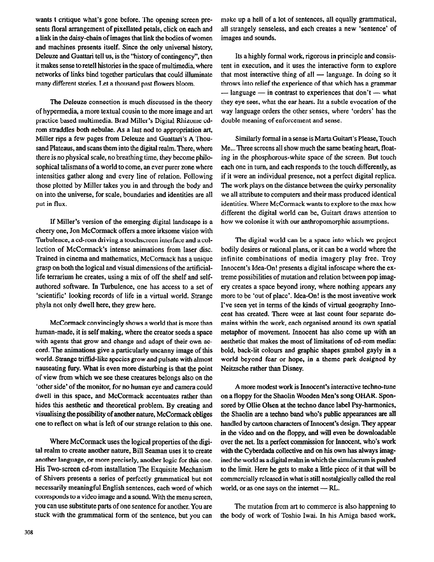wants t critique what's gone before. The opening screen presents floral arrangement of pixellated petals, click on each and a link in the daisy-chain of images that link the bodies of women and machines presents itself. Since the only universal history, Deleuze and Guattari tell us, is the "history of contingency", then it makes sense to retell histories in the space of multimedia, where networks of links bid together particulars that could illuminate many different stories. Let a thousand past flowers bloom.

The Deleuze connection is much discussed in the theory of hypermedia, a more textual cousin to the more image and art practice based multimedia. Brad Miller's Digital Rhizome cdrom straddles both nebulae. As a last nod to appropriation art, Miller rips a few pages from Deleuze and Guattari's A Thousand Plateaus, and scans them into the digital realm. There, where there is no physical scale, no breathing time, they become philosophical talismans of a world to come, an ever purer zone where intensities gather along and every line of relation. Following those plotted by Miller takes you in and through the body and on into the universe, for scale, boundaries and identities are all put in flux.

If Miller's version of the emerging digital landscape is a cheery one, Jon McCormack offers a more irksome vision with Turbulence, a cd-rom driving a touchscreen interface and a collection of McCormack's intense animations from laser disc. Trained in cinema and mathematics, McCorrnack has a unique grasp on both the logical and visual dimensions of the artificiallife terrarium he creates, using a mix of off the shelf and selfauthored software. In Turbulence, one has access to a set of 'scientific' looking records of life in a virtual world. Strange phyla not only dwell here, they grew here.

McCormack convincingly shows a world that is more than human-made, it is self making, where the creator seeds a space with agents that grow and change and adapt of their own accord. The animations give a particularly uncanny image of this world. Strange triffid-like species grow and pulsate with almost nauseating fiery. What is even more disturbing is that the point of view from which we see these creatures belongs also on the 'other side' of the monitor, for no human eye and camera could dwell in this space, and McCormack accentuates rather than hides this aesthetic and theoretical problem. By creating and visualising the possibility of another nature, McCormack obliges one to reflect on what is left of our strange relation to this one.

Where McCormack uses the logical properties of the digital realm to create another nature, Bill Seaman uses it to create another language, or more precisely, another logic for this one. His Two-screen cd-rom installation The Exquisite Mechanism of Shivers presents a series of perfectly grammatical but not necessarily meaningful English sentences, each word of which corresponds to a video image and a sound. With the menu screen, you can use substitute parts of one sentence for another. You are stuck with the grammatical form of the sentence, but you can

make up a hell of a lot of sentences, all equally grammatical, all strangely senseless, and each creates a new 'sentence' of images and sounds.

Its a highly formal work, rigorous in principle and consistent in execution, and it uses the interactive form to explore that most interactive thing of all  $-$  language. In doing so it throws into relief the experience of that which has a grammar  $-$  language  $-$  in contrast to experiences that don't  $-$  what they eye sees, what the ear hears. Its a subtle evocation of the way language orders the other senses, where 'orders' has the double meaning of enforcement and sense.

Similarly formal in a sense is Marta Guitart's Please, Touch Me... Three screens all show much the same beating heart, floating in the phosphorous-white space of the screen. But touch each one in turn, and each responds to the touch differently, as if it were an individual presence, not a perfect digital replica. The work plays on the distance between the quirky personality we all attribute to computers and their mass produced identical identities. Where McCormack wants to explore to the max how different the digital world can be, Guitart draws attention to how we colonise it with our anthropomorphic assumptions.

The digital world can be a space into which we project bodily desires or rational plans, or it can be a world where the infinite combinations of media imagery play free. Troy Innocent's Idea-On! presents a digital infoscape where the extreme possibilities of mutation and relation between pop imagery creates a space beyond irony, where nothing appears any more to be 'out of place'. Idea-On! is the most inventive work I've seen yet in terms of the kinds of virtual geography Innocent has created. There were at last count four separate domains within the work, each organised around its own spatial metaphor of movement. Innocent has also come up with an aesthetic that makes the most of limitations of cd-rom media: bold, back-lit colours and graphic shapes gambol gayly in a world beyond fear or hope, in a theme park designed by Neitzsche rather than Disney.

A more modest work is Innocent's interactive techno-tune on a floppy for the Shaolin Wooden Men's song OHAR. Sponsored by Ollie Olsen at the techno dance label Psy-harmonics. the Shaolin are a techno band who's public appearances are all handled by cartoon characters of Innocent's design. They appear in the video and on the floppy, and will even be downloadable over the net. Its a perfect commission for Innocent, who's work with the Cyberdada collective and on his own has always imagined the world as a digital realm in which the simulacrum is pushed to the limit. Here he gets to make a little piece of it that will be commercially released in what is still nostalgically called the real world, or as one says on the internet  $-$  RL.

The mutation from art to commerce is also happening to the body of work of Toshio Iwai. In his Amiga based work,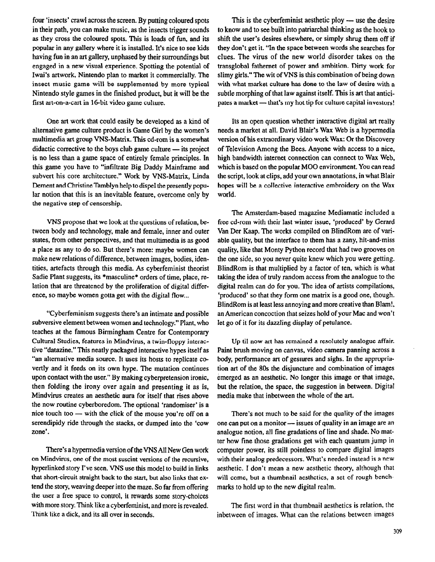four 'insects' crawl across the screen. By putting coloured spots This is the cyberfeminist aesthetic ploy — use the desire in their path, you can make music, as the insects trigger sounds to know and to see built into patriarchal thinking as the hook to as they cross the coloured spots. This is loads of fun, and its shift the user's desires elsewhere, or simply shrug them off if popular in any gallery where it is installed. It's nice to see kids they don't get it. "In the space between words she searches for having fun in an art gallery, unphased by their surroundings but clues. The virus of the new world disorder takes on the engaged in a new visual experience. Spotting the potential of transglobal fathemet of power and ambition. Dirty work for Iwai's artwork, Nintendo plan to market it commercially. The slimy girls." The wit of VNS is this combination of being down insect music game will be supplemented by more typical with what market culture has done to the law of desire with a Nintendo style games in the finished product, but it will be the subtle morphing of that law against itself. This is art that anticifirst art-on-a-cart in 16-bit video game culture. pates a market - that's my hot tip for culture capital investors!

One art work that could easily be developed as a kind of alternative game culture product is Game Girl by the women's multimedia art group VNS-Matrix. This cd-rom is a somewhat didactic corrective to the boys club game culture - its project is no less than a game space of entirely female principles. In this game you have to "infiltrate Big Daddy Mainframe and subvert his core architecture." Work by VNS-Matrix, Linda Dement and Christine Tamblyn help to dispel the presently popular notion that this is an inevitable feature, overcome only by the negative step of censorship.

VNS propose that we look at the questions of relation, between body and technology, male and female, inner and outer states, from other perspectives, and that multimedia is as good a place as any to do so. But there's more: maybe women can make new relations of difference, between images, bodies, identities, artefacts through this media. As cyberfeminist theorist Sadie Plant suggests, its \*masculine\* orders of time, place, relation that are threatened by the proliferation of digital difference, so maybe women gotta get with the digital flow...

"Cyberfeminism suggests there's an intimate and possible subversive element between women and technology." Plant, who teaches at the famous Birmingham Centre for Contemporary Cultural Studies, features in Mindvirus, a twin-floppy interactive "datazine." This neatly packaged interactive hypes itself as "an alternative media source. It uses its hosts to replicate covertly and it feeds on its own hype. The mutation continues upon contact with the user." By making cyberpretension ironic, then folding the irony over again and presenting it as is, Mindvirus creates an aesthetic aura for itself that rises above the now routine cyberboredom. The optional 'randomiser' is a nice touch too  $-$  with the click of the mouse you're off on a serendipidy ride through the stacks, or dumped into the 'cow zone'.

There's a hypermedia version of the VNS All New Gen work on Mindvirus, one of the most suscint versions of the recursive, hyperlinked story I've seen. VNS use this model to build in links that short-circuit straight back to the start, but also links that extend the story, weaving deeper into the maze. So far from offering the user a free space to control, it rewards some story-choices with more story. Think like a cyberfeminist, and more is revealed. Think like a dick, and its all over in seconds.

Its an open question whether interactive digital art really needs a market at all. David Blair's Wax Web is a hypermedia version of his extraordinary video work Wax: Or the Discovery of Television Among the Bees. Anyone with access to a nice, high bandwidth intemet connection can connect to Wax Web, which is based on the popular MOO environment. You can read the script, look at clips, add your own annotations, in what Blair hopes will be a collective interactive embroidery on the Wax world.

The Amsterdam-based magazine Mediamatic included a free cd-rom with their last winter issue. 'produced' by Gerard Van Der Kaap. The works compiled on BlindRom are of variable quality, but the interface to them has a zany, hit-and-miss quality, like that Monty Python record that had two grooves on the one side, so you never quite knew which you were getting. BlindRom is that multiplied by a factor of ten, which is what taking the idea of truly random access from the analogue to the digital realm can do for you. The idea of artists compilations, 'produced' so that they form one matrix is a good one, though. BlindRom is at least less annoying and more creative than Blam!, an American concoction that seizes hold of your Mac and won't let go of it for its dazzling display of petulance.

Up til now art has remained a resolutely analogue affair. Paint brush moving on canvas, video camera panning across a body, performance art of gestures and sighs. In the appropriation art of the 80s the disjuncture and combination of images emerged as an aesthetic. No longer this image or that image, but the relation, the space, the suggestion in between. Digital media make that inbetween the whole of the art.

There's not much to be said for the quality of the images one can put on a monitor — issues of quality in an image are an analogue notion, all fine gradations of line and shade. No matter how fine those gradations get with each quantum jump in computer power, its still pointless to compare digital images with their analog predecessors. What's needed instead is a new aesthetic. I don't mean a new aesthetic theory, although that will come, but a thumbnail aesthetics, a set of rough benchmarks to hold up to the new digital realm.

The first word in that thumbnail aesthetics is relation, the inbetween of images. What can the relations between images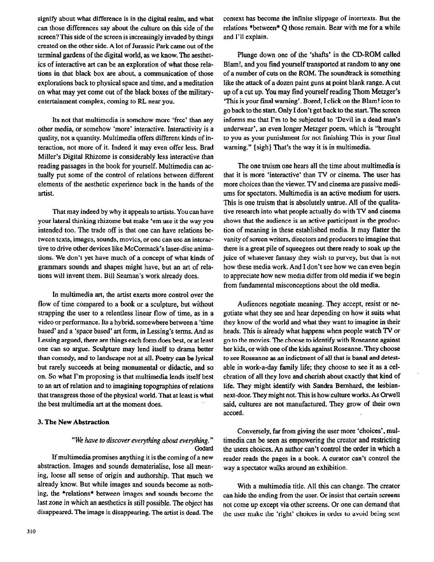signify about what difference is in the digital realm, and what can those differences say about the culture on this side of the screen? This side of the screen is increasingly invaded by things created on the other side. A lot of Jurassic Park came out of the terminal gardens of the digital world, as we know. The aesthetics of interactive art can be an exploration of what those relations in that black box are about, a communication of those explorations back to physical space and time, and a meditation on what may yet come out of the black boxes of the militaryentertainment complex, coming to RL near you.

Its not that multimedia is somehow more 'free' than any other media, or somehow 'more' interactive. Interactivity is a quality, not a quantity. Multimedia offers different kinds of interaction, not more of it. Indeed it may even offer less. Brad Miller's Digital Rhizome is considerably less interactive than reading passages in the book for yourself. Multimedia can actually put some of the control of relations between different elements of the aesthetic experience back in the hands of the artist.

That may indeed by why it appeals to artists. You can have your lateral thinking rhizome but make 'em use it the way you intended too. The trade off is that one can have relations between texts, images, sounds, movies, or one can use an interactive to drive other devices like McCormack's laser-disc animations. We don't yet have much of a concept of what kinds of grammars sounds and shapes might have, but an art of relations will invent them. Bill Seaman's work already does.

In multimedia art, the artist exerts more control over the flow of time compared to a book or a sculpture, but without strapping the user to a relentless linear flow of time, as in a video or performance. Its a hybrid, somewhere between a 'time based' and a 'space based' art form, in Lessing's terms. And as Lessing argued, there are things each form does best, or at least one can so argue. Sculpture may lend itself to drama better than comedy, and to landscape not at all. Poetry can be lyrical but rarely succeeds at being monumental- or didactic, and so on. So what I'm proposing is that multimedia lends itself best to an art of relation and to imagining topographies of relations that transgress those of the physical world. That at least is what the best multimedia art at the moment does.

### 3. The New Abstraction

## "We have to discover everything about everything. " **Godard**

If multimedia promises anything it is the coming of a new abstraction. Images and sounds dematerialise, lose all meaning, loose all sense of origin and authorship. That much we already know. But while images and sounds become as nothing, the \*relations\* between images and sounds become the last zone in which an aesthetics is still possible. The object has disappeared. The image is disappearing. The artist is dead. The context has become the infinite slippage of intertexts. But the relations \*between\* Q those remain. Bear with me for a while and I'll explain.

Plunge down one of the 'shafts' in the CD-ROM called Blam!, and you find yourself transported at random to any one of a number of cuts on the ROM. The soundtrack is something like the attack of a dozen paint guns at point blank range. A cut up of a cut up. You may find yourself reading Thorn Metzger's 'This is your final warning'. Bored, I click on the Blam! icon to go back to the start. Only I don't get back to the start. The screen informs me that I'm to be subjected to 'Devil in a dead man's underwear', an even longer Metzger poem, which is "brought to you as your punishment for not finishing This is your final warning." (sigh) That's the way it is in multimedia.

The one truism one hears all the time about multimedia is that it is more 'interactive' than TV or cinema. The user has more choices than the viewer. TV and cinema are passive mediums for spectators. Multimedia is an active medium for users. This is one truism that is absolutely untrue. All of the qualitative research into what people actually do with TV and cinema shows that the audience is an active participant in the production of meaning in these established media. It may flatter the vanity of screen writers, directors and producers to imagine that there is a great pile of squeegees out there ready to soak up the juice of whatever fantasy they wish to purvey, but that is not how these media work. And I don't see how we can even begin to appreciate how new media differ from old media if we begin from fundamental misconceptions about the old media.

Audiences negotiate meaning. They accept, resist or negotiate what they see and hear depending on how it suits what they know of the world and what they want to imagine in their heads. This is already what happens when people watch TV or go to the movies. The choose to identify with Roseanne against her kids, or with one of the kids against Roseanne. They choose to see Roseanne as an indictment of all that is banal and detestable in work-a-day family life; they choose to see it as a celebration of all they love and cherish about exactly that kind of life. They might identify with Sandra Bernhard, the lesbiannext-door. They might not. This is how culture works. As Orwell said, cultures are not manufactured. They grow of their own accord.

Conversely, far from giving the user more 'choices', multimedia can be seen as empowering the creator and restricting the users choices. An author can't control the order in which a reader reads the pages in a book. A curator can't control the way a spectator walks around an exhibition.

With a multimedia title. All this can change. The creator can hide the ending from the user. Or insist that certain screens not come up except via other screens. Or one can demand that the user make the 'right' choices in order to avoid being sent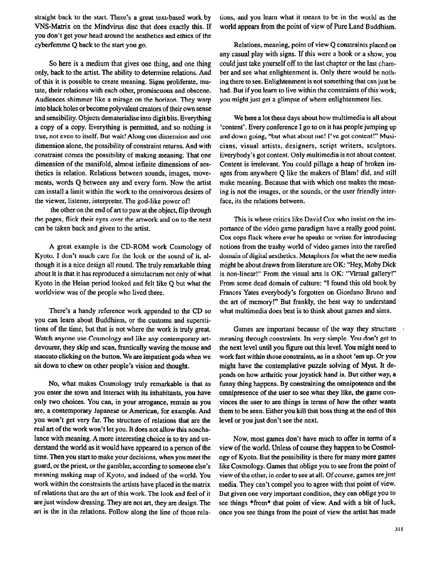straight back to the start. There's a great text-based work by VNS-Matrix on the Mindvirus disc that does exactly this. If you don't get your head around the aesthetics and ethics of the cyberfemme Q back to the start you go.

So here is a medium that gives one thing, and one thing only, back to the artist. The ability to determine relations. And of this it is possible to create meaning. Signs proliferate, mutate, their relations with each other, promiscuous and obscene. Audiences shimmer like a mirage on the horizon. They warp into black holes or become polyvalent creators of their own sense and sensibility. Objects dematerialise into digit bits. Everything a copy of a copy. Everything is permitted, and so nothing is true, not even to itself. But wait! Along one dimension and one dimension alone, the possibility of constraint returns. And with constraint comes the possibility of making meaning. That one dimension of the manifold, almost infinite dimensions of aesthetics is relation. Relations between sounds, images, movements, words Q between any and every form. Now the artist can install a limit within the work to the omnivorous desires of the viewer, listener, interpreter. The god-like power of!

the other on the end of art to paw at the object, flip through the pages, flick their eyes over the artwork and on to the next can be taken back and given to the artist.

A great example is the CD-ROM work Cosmology of Kyoto. I don't much care for the look or the sound of it, although it is a nice design all round. The truly remarkable thing about it is that it has reproduced a simulacrum not only of what Kyoto in the Heian period looked and felt like Q but what the worldview was of the people who lived there.

There's a handy reference work appended to the CD so you can learn about Buddhism, or the customs and superstitions of the time, but that is not where the work is truly great. Watch anyone use Cosmology and like any contemporary artdevourer, they skip and scan, frantically waving the mouse and staccato clicking on the button. We are impatient gods when we sit down to chew on other people's vision and thought.

No, what makes Cosmology truly remarkable is that as you enter the town and interact with its inhabitants, you have only two choices. You can, in your arrogance, remain as you are, a contemporary Japanese or American, for example. And you won't get very far. The structure of relations that are the real art of the work won't let you. It does not allow this nonchalance with meaning. A more interesting choice is to try and understand the world as it would have appeared to a person of the time. Then you start to make your decisions, when you meet the guard, or the priest, or the gambler, according to someone else's meaning making map of Kyoto, and indeed of the world. You work within the constraints the artists have placed in the matrix of relations that are the art of this work. The look and feel of it are just window dressing. They are not art, they are design. The art is the in the relations. Follow along the line of those rela-

tions, and you learn what it means to be in the world as the world appears from the point of view of Pure Land Buddhism.

Relations, meaning, point of view Q constraints placed on any casual play with signs. If this were a book or a show, you could just take yourself off to the last chapter or the last chamber and see what enlightenment is. Only there would be nothing there to see. Enlightenment is not something that can just he had. But if you learn to live within the constraints of this work, you might just get a glimpse of where enlightenment lies.

We here a Iot these days about how multimedia is all about 'content'. Every conference I go to on it has people jumping up and down going, "but what about me! I've got content!" Musicians, visual artists, designers, script writers, sculptors. Everybody's got content. Only multimedia is not about content. Content is irrelevant. You could pillage a heap of broken images from anywhere Q like the makers of Blam! did, and still make meaning. Because that with which one makes the meaning is not the images, or the sounds, or the user friendly interface, its the relations between.

This is where critics like David Cox who insist on the importance of the video game paradigm have a really good point. Cox cops flack where ever he speaks or writes for introducing notions from the trashy world of video games into the rarefied domain of digital aesthetics. Metaphors for what the new media might be about drawn from literature are OK: "Hey, Moby Dick is non-linear!" From the visual arts is OK: "Virtual gallery!" From some dead domain of culture: "I found this old book by Frances Yates everybody's forgotten on Giordano Bruno and the art of memory!" But frankly, the best way to understand what multimedia does best is to think about games and sims.

Games are important because of the way they structure meaning through constraints. Its very simple. You don't get to the next level until you figure out this level. You might need to work fast within those constraints, as in a shoot 'em up. Or you might have the contemplative puzzle solving of Myst. It depends on how arthritic your joystick hand is. But either way, a funny thing happens. By constraining the omnipotence and the omnipresence of the user to see what they like, the game convinces the user to see things in terms of how the other wants them to be seen. Either you kill that boss thing at the end of this level or you just don't see the next.

Now, most games don't have much to offer in terms of a view of the world. Unless of course they happen to be Cosmology of Kyoto. But the possibility is there for many more games like Cosmology. Games that oblige you to see from the point of view of the other, in order to see at all. Of course, games are just media. They can't compel you to agree with that point of view. But given one very important condition, they can oblige you to see things \*from\* that point of view. And with a bit of luck, once you see things from the point of view the artist has made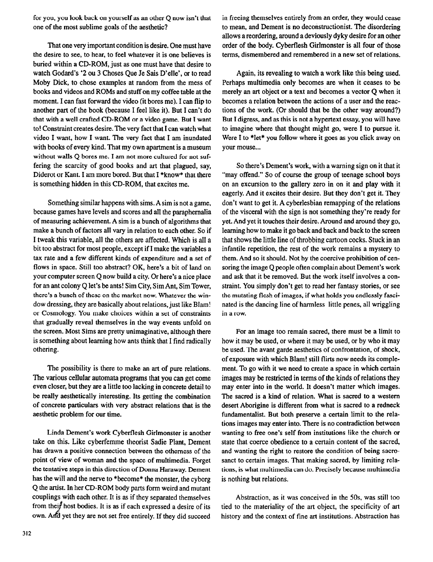for you, you look back on yourself as an other Q now isn't that one of the most sublime goals of the aesthetic?

That one very important condition is desire. One must have the desire to see, to hear, to feel whatever it is one believes is buried within a CD-ROM, just as one must have that desire to watch Godard's '2 ou 3 Choses Que Je Sais D'elle', or to read Moby Dick, to chose examples at random from the mess of books and videos and ROMs and stuff on my coffee table at the moment. I can fast forward the video (it bores me). I can flip to another part of the book (because I feel like it). But I can't do that with a well crafted CD-ROM or a video game. But I want to! Constraint creates desire. The very fact that I can watch what video I want, how I want. The very fact that I am inundated with books of every kind. That my own apartment is a museum without walls Q bores me. I am not more cultured for not suffering the scarcity of good books and art that plagued, say, Diderot or Kant. I am more bored. But that I \*know\* that there is something hidden in this CD-ROM, that excites me.

Something similar happens with sims. A sim is not a game, because games have levels and scores and all the paraphernalia of measuring achievement. A sim is a bunch of algorithms that make a bunch of factors all vary in relation to each other. So if I tweak this variable, all the others are affected. Which is all a bit too abstract for most people, except if I make the variables a tax rate and a few different kinds of expenditure and a set of flows in space. Still too abstract? OK, here's a bit of land on your computer screen Q now build a city. Or here's a nice place for an ant colony Q let's be ants! Sim City, Sim Ant, Sim Tower, there's a bunch of these on the market now. Whatever the window dressing, they are basically about relations, just like Blam! or Cosmology. You make choices within a set of constraints that gradually reveal themselves in the way events unfold on the screen. Most Sims are pretty unimaginative, although there is something about learning how ants think that I find radically othering.

The possibility is there to make an art of pure relations. The various cellular automata programs that you can get come even closer, but they are a little too lacking in concrete detail to be really aesthetically interesting. Its getting the combination of concrete particulars with very abstract relations that is the aesthetic problem for our time.

Linda Dement's work Cybertlesh Girlmonster is another take on this. Like cybetfemme theorist Sadie Plant, Dement has drawn a positive connection between the otherness of the point of view of woman and the space of multimedia. Forget the tentative steps in this direction of Donna Haraway. Dement has the will and the nerve to \*become\* the monster, the cyborg Q the artist. In her CD-ROM body parts form weird and mutant couplings with each other. It is as if they separated themselves from their host bodies. It is as if each expressed a desire of its own. And yet they are not set free entirely. If they did succeed

in freeing themselves entirely from an order, they would cease to mean, and Dement is no deconstructionist. The disordering ailows a reordering, around a deviously dyky desire for an other order of the body. Cyberflesh Girlmonster is all four of those terms, dismembered and remembered in a new set of relations.

Again, its revealing to watch a work like this being used. Perhaps multimedia only becomes are when it ceases to be merely an art object or a text and becomes a vector Q when it becomes a relation between the actions of a user and the reactions of the work. (Or should that be the other way around?) But I digress, and as this is not a hypertext essay, you will have to imagine where that thought might go, were I to pursue it. Were I to \*let\* you follow where it goes as you click away on your mouse...

So there's Dement's work, with a warning sign on it that it "may offend." So of course the group of teenage school boys on an excursion to the gallery zero in on it and play with it eagerly. And it excites their desire. But they don't get it. They don't want to get it. A cyberlesbian remapping of the relations of the visceral with the sign is not something they're ready for yet. And yet it touches their desire. Around and around they go, learning how to make it go back and back and back to the screen that shows the little line of throbbing cartoon cocks. Stuck in an infantile repetition, the rest of the work remains a mystery to them. And so it should. Not by the coercive prohibition of censoring the image Q people often complain about Dement's work and ask that it be removed. But the work itself involves a constraint. You simply don't get to read her fantasy stories, or see the mutating flesh of images, if what holds you endlessly fascinated is the dancing line of harmless little penes, all wriggling in a row.

For an image too remain sacred, there must be a limit to how it may be used, or where it may be used, or by who it may be used. The avant garde aesthetics of confrontation, of shock, of exposure with which Blam! still flirts now needs its complement. To go with it we need to create a space in which certain images may be restricted in terms of the kinds of relations they may enter into in the world. It doesn't matter which images. The sacred is a kind of relation. What is sacred to a western desert Aborigine is different from what is sacred to a redneck fundamentalist. But both preserve a certain limit to the relations images may enter into. There is no contradiction between wanting to free one's self from institutions like the church or state that coerce obedience to a certain content of the sacred, and wanting the right to restore the condition of being sacrosanct to certain images. That making sacred, by limiting relations, is what multimedia can do. Precisely because multimedia is nothing but relations.

Abstraction, as it was conceived in the 50s. was still too tied to the materiality of the art object, the specificity of art history and the context of fine art institutions. Abstraction has